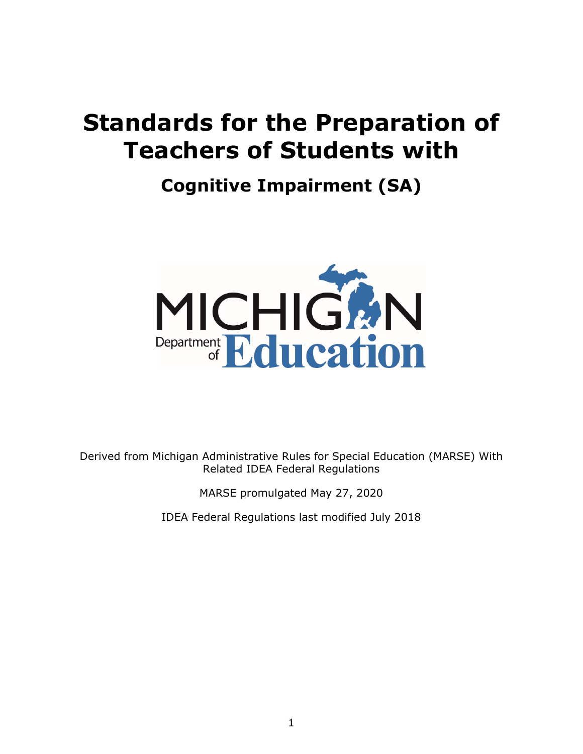# **Standards for the Preparation of Teachers of Students with**

# **Cognitive Impairment (SA)**



Derived from Michigan Administrative Rules for Special Education (MARSE) With Related IDEA Federal Regulations

MARSE promulgated May 27, 2020

IDEA Federal Regulations last modified July 2018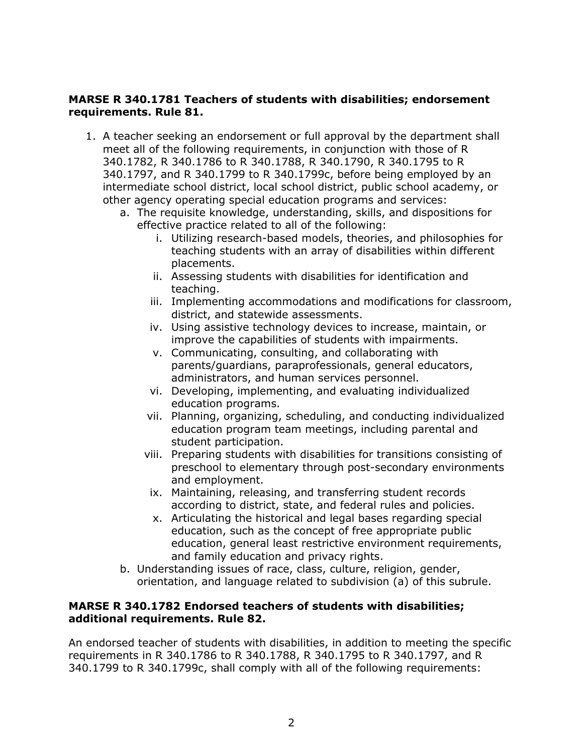## **MARSE R 340.1781 Teachers of students with disabilities; endorsement requirements. Rule 81.**

- 340.1782, R 340.1786 to R 340.1788, R 340.1790, R 340.1795 to R 1. A teacher seeking an endorsement or full approval by the department shall meet all of the following requirements, in conjunction with those of R 340.1797, and R 340.1799 to R 340.1799c, before being employed by an intermediate school district, local school district, public school academy, or other agency operating special education programs and services:
	- a. The requisite knowledge, understanding, skills, and dispositions for effective practice related to all of the following:
		- i. Utilizing research-based models, theories, and philosophies for teaching students with an array of disabilities within different placements.
		- ii. Assessing students with disabilities for identification and teaching.
		- iii. Implementing accommodations and modifications for classroom, district, and statewide assessments.
		- iv. Using assistive technology devices to increase, maintain, or improve the capabilities of students with impairments.
		- v. Communicating, consulting, and collaborating with parents/guardians, paraprofessionals, general educators, administrators, and human services personnel.
		- vi. Developing, implementing, and evaluating individualized education programs.
		- vii. Planning, organizing, scheduling, and conducting individualized education program team meetings, including parental and student participation.
		- viii. Preparing students with disabilities for transitions consisting of preschool to elementary through post-secondary environments and employment.
		- ix. Maintaining, releasing, and transferring student records according to district, state, and federal rules and policies.
		- x. Articulating the historical and legal bases regarding special education, such as the concept of free appropriate public education, general least restrictive environment requirements, and family education and privacy rights.
	- b. Understanding issues of race, class, culture, religion, gender, orientation, and language related to subdivision (a) of this subrule.

## **MARSE R 340.1782 Endorsed teachers of students with disabilities; additional requirements. Rule 82.**

An endorsed teacher of students with disabilities, in addition to meeting the specific requirements in R 340.1786 to R 340.1788, R 340.1795 to R 340.1797, and R 340.1799 to R 340.1799c, shall comply with all of the following requirements: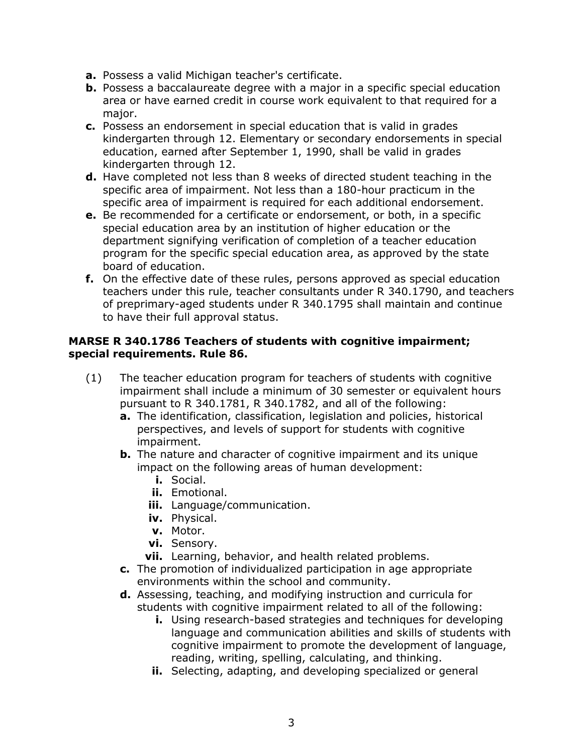- **a.** Possess a valid Michigan teacher's certificate.
- **b.** Possess a baccalaureate degree with a major in a specific special education area or have earned credit in course work equivalent to that required for a major.
- **c.** Possess an endorsement in special education that is valid in grades kindergarten through 12. Elementary or secondary endorsements in special education, earned after September 1, 1990, shall be valid in grades kindergarten through 12.
- **d.** Have completed not less than 8 weeks of directed student teaching in the specific area of impairment. Not less than a 180-hour practicum in the specific area of impairment is required for each additional endorsement.
- **e.** Be recommended for a certificate or endorsement, or both, in a specific special education area by an institution of higher education or the department signifying verification of completion of a teacher education program for the specific special education area, as approved by the state board of education.
- **f.** On the effective date of these rules, persons approved as special education teachers under this rule, teacher consultants under R 340.1790, and teachers of preprimary-aged students under R 340.1795 shall maintain and continue to have their full approval status.

## **MARSE R 340.1786 Teachers of students with cognitive impairment; special requirements. Rule 86.**

- (1) The teacher education program for teachers of students with cognitive impairment shall include a minimum of 30 semester or equivalent hours pursuant to R 340.1781, R 340.1782, and all of the following:
	- **a.** The identification, classification, legislation and policies, historical perspectives, and levels of support for students with cognitive impairment.
	- **b.** The nature and character of cognitive impairment and its unique impact on the following areas of human development:
		- **i.** Social.
		- **ii.** Emotional.
		- **iii.** Language/communication.
		- **iv.** Physical.
		- **v.** Motor.
		- **vi.** Sensory.
		- **vii.** Learning, behavior, and health related problems.
	- **c.** The promotion of individualized participation in age appropriate environments within the school and community.
	- **d.** Assessing, teaching, and modifying instruction and curricula for students with cognitive impairment related to all of the following:
		- **i.** Using research-based strategies and techniques for developing language and communication abilities and skills of students with cognitive impairment to promote the development of language, reading, writing, spelling, calculating, and thinking.
		- **ii.** Selecting, adapting, and developing specialized or general